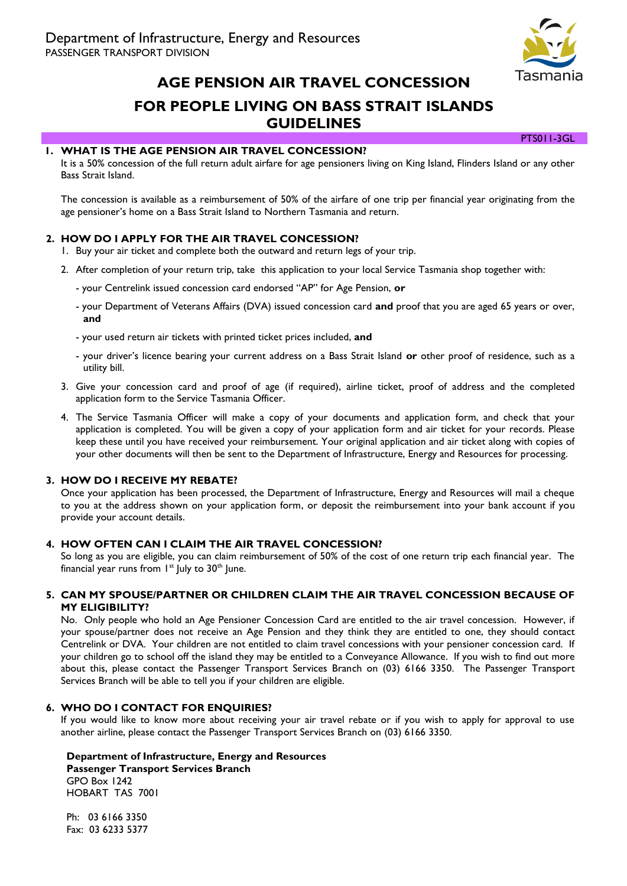

PTS011-3GL

# **AGE PENSION AIR TRAVEL CONCESSION**

## **FOR PEOPLE LIVING ON BASS STRAIT ISLANDS GUIDELINES**

#### **1. WHAT IS THE AGE PENSION AIR TRAVEL CONCESSION?**

It is a 50% concession of the full return adult airfare for age pensioners living on King Island, Flinders Island or any other Bass Strait Island.

The concession is available as a reimbursement of 50% of the airfare of one trip per financial year originating from the age pensioner's home on a Bass Strait Island to Northern Tasmania and return.

#### **2. HOW DO I APPLY FOR THE AIR TRAVEL CONCESSION?**

- 1. Buy your air ticket and complete both the outward and return legs of your trip.
- 2. After completion of your return trip, take this application to your local Service Tasmania shop together with:
	- your Centrelink issued concession card endorsed "AP" for Age Pension, **or**
	- your Department of Veterans Affairs (DVA) issued concession card **and** proof that you are aged 65 years or over, **and**
	- your used return air tickets with printed ticket prices included, **and**
	- your driver's licence bearing your current address on a Bass Strait Island **or** other proof of residence, such as a utility bill.
- 3. Give your concession card and proof of age (if required), airline ticket, proof of address and the completed application form to the Service Tasmania Officer.
- 4. The Service Tasmania Officer will make a copy of your documents and application form, and check that your application is completed. You will be given a copy of your application form and air ticket for your records. Please keep these until you have received your reimbursement. Your original application and air ticket along with copies of your other documents will then be sent to the Department of Infrastructure, Energy and Resources for processing.

#### **3. HOW DO I RECEIVE MY REBATE?**

Once your application has been processed, the Department of Infrastructure, Energy and Resources will mail a cheque to you at the address shown on your application form, or deposit the reimbursement into your bank account if you provide your account details.

#### **4. HOW OFTEN CAN I CLAIM THE AIR TRAVEL CONCESSION?**

So long as you are eligible, you can claim reimbursement of 50% of the cost of one return trip each financial year. The financial year runs from  $1<sup>st</sup>$  July to  $30<sup>th</sup>$  June.

#### **5. CAN MY SPOUSE/PARTNER OR CHILDREN CLAIM THE AIR TRAVEL CONCESSION BECAUSE OF MY ELIGIBILITY?**

No. Only people who hold an Age Pensioner Concession Card are entitled to the air travel concession. However, if your spouse/partner does not receive an Age Pension and they think they are entitled to one, they should contact Centrelink or DVA. Your children are not entitled to claim travel concessions with your pensioner concession card. If your children go to school off the island they may be entitled to a Conveyance Allowance. If you wish to find out more about this, please contact the Passenger Transport Services Branch on (03) 6166 3350. The Passenger Transport Services Branch will be able to tell you if your children are eligible.

#### **6. WHO DO I CONTACT FOR ENQUIRIES?**

If you would like to know more about receiving your air travel rebate or if you wish to apply for approval to use another airline, please contact the Passenger Transport Services Branch on (03) 6166 3350.

### **Department of Infrastructure, Energy and Resources**

**Passenger Transport Services Branch** GPO Box 1242 HOBART TAS 7001

Ph: 03 6166 3350 Fax: 03 6233 5377